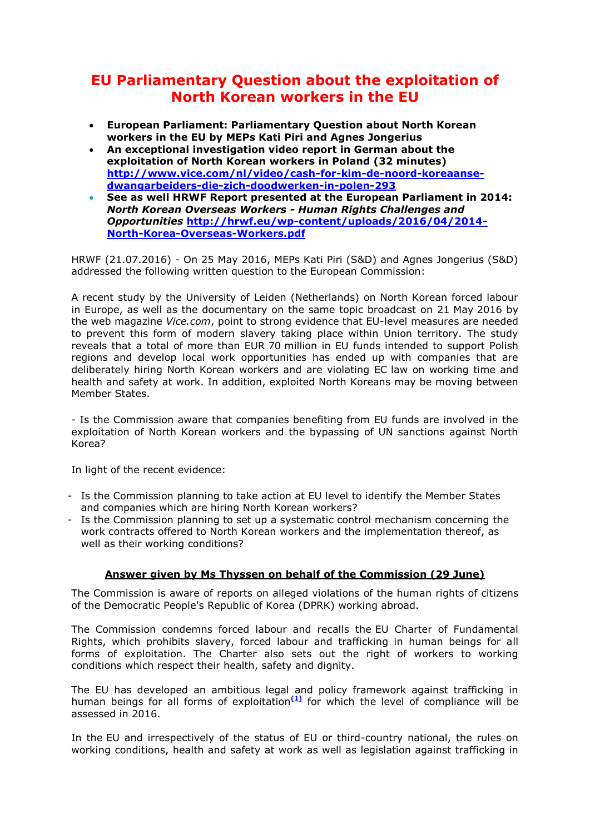## **EU Parliamentary Question about the exploitation of North Korean workers in the EU**

- **European Parliament: Parliamentary Question about North Korean workers in the EU by MEPs Kati Piri and Agnes Jongerius**
- **An exceptional investigation video report in German about the exploitation of North Korean workers in Poland (32 minutes) [http://www.vice.com/nl/video/cash-for-kim-de-noord-koreaanse](http://r20.rs6.net/tn.jsp?f=001PMe-GrxGZRxjKhzsqZeMqTgbyJG0141CRIXRQTO8z8vIaJJMRyasGhyoLb5GBKZBbG-vMaf3QnBFWGE2uhcs8Qo-wDP-AEtjeSHuqzJ8BI4lB61sZWlbJ7srO5WlafeE1VXFkb8tfBsfhdUMW4ytm1gC4SWPKcotKNuosWoTuTysa40Rnrz_1bC9T1UVZ88uIvXvusxlODxEOAGiwAHwZ-Z1kMMseac4NUfowUk1xGS-HcjMMABZF1FNesu6hbrSEs_vOy471pxoDsRSZqjrr12T8tj46mPX&c=UNx1dBqyTRIF4WVvAlgDRlK3OxZMsD5jJLrUeB3qGyjLMDJBHFYp4A==&ch=8QjLKL8Na0e2vqPhYSIQ9xwx-E1k-LxyHFBUwpYOgrEfwX_rp-fCpQ==)[dwangarbeiders-die-zich-doodwerken-in-polen-293](http://r20.rs6.net/tn.jsp?f=001PMe-GrxGZRxjKhzsqZeMqTgbyJG0141CRIXRQTO8z8vIaJJMRyasGhyoLb5GBKZBbG-vMaf3QnBFWGE2uhcs8Qo-wDP-AEtjeSHuqzJ8BI4lB61sZWlbJ7srO5WlafeE1VXFkb8tfBsfhdUMW4ytm1gC4SWPKcotKNuosWoTuTysa40Rnrz_1bC9T1UVZ88uIvXvusxlODxEOAGiwAHwZ-Z1kMMseac4NUfowUk1xGS-HcjMMABZF1FNesu6hbrSEs_vOy471pxoDsRSZqjrr12T8tj46mPX&c=UNx1dBqyTRIF4WVvAlgDRlK3OxZMsD5jJLrUeB3qGyjLMDJBHFYp4A==&ch=8QjLKL8Na0e2vqPhYSIQ9xwx-E1k-LxyHFBUwpYOgrEfwX_rp-fCpQ==)**
- **See as well HRWF Report presented at the European Parliament in 2014:**  *North Korean Overseas Workers - Human Rights Challenges and Opportunities* **[http://hrwf.eu/wp-content/uploads/2016/04/2014-](http://r20.rs6.net/tn.jsp?f=001PMe-GrxGZRxjKhzsqZeMqTgbyJG0141CRIXRQTO8z8vIaJJMRyasGhyoLb5GBKZBxLibBTQJMQ_7Dl6TlL__BZoTGkC6Fd-tgscWTPu8CwgKvuxiUH6S-FNUwYQfkaD2PlqYy42q5kyM5gMFIVyj_57MFoHRvQ5VDQf29ryLNq35m8LsoEvYzJNRA9xAnYhFMbHaetdL_f017sRKeEVKqtREu9b7TaQ4LCnNCXrXThRrNYQL6Q2ZafZKy5gIGuwa&c=UNx1dBqyTRIF4WVvAlgDRlK3OxZMsD5jJLrUeB3qGyjLMDJBHFYp4A==&ch=8QjLKL8Na0e2vqPhYSIQ9xwx-E1k-LxyHFBUwpYOgrEfwX_rp-fCpQ==) [North-Korea-Overseas-Workers.pdf](http://r20.rs6.net/tn.jsp?f=001PMe-GrxGZRxjKhzsqZeMqTgbyJG0141CRIXRQTO8z8vIaJJMRyasGhyoLb5GBKZBxLibBTQJMQ_7Dl6TlL__BZoTGkC6Fd-tgscWTPu8CwgKvuxiUH6S-FNUwYQfkaD2PlqYy42q5kyM5gMFIVyj_57MFoHRvQ5VDQf29ryLNq35m8LsoEvYzJNRA9xAnYhFMbHaetdL_f017sRKeEVKqtREu9b7TaQ4LCnNCXrXThRrNYQL6Q2ZafZKy5gIGuwa&c=UNx1dBqyTRIF4WVvAlgDRlK3OxZMsD5jJLrUeB3qGyjLMDJBHFYp4A==&ch=8QjLKL8Na0e2vqPhYSIQ9xwx-E1k-LxyHFBUwpYOgrEfwX_rp-fCpQ==)**

HRWF (21.07.2016) - On 25 May 2016, MEPs Kati Piri (S&D) and Agnes Jongerius (S&D) addressed the following written question to the European Commission:

A recent study by the University of Leiden (Netherlands) on North Korean forced labour in Europe, as well as the documentary on the same topic broadcast on 21 May 2016 by the web magazine *Vice.com*, point to strong evidence that EU-level measures are needed to prevent this form of modern slavery taking place within Union territory. The study reveals that a total of more than EUR 70 million in EU funds intended to support Polish regions and develop local work opportunities has ended up with companies that are deliberately hiring North Korean workers and are violating EC law on working time and health and safety at work. In addition, exploited North Koreans may be moving between Member States.

- Is the Commission aware that companies benefiting from EU funds are involved in the exploitation of North Korean workers and the bypassing of UN sanctions against North Korea?

In light of the recent evidence:

- Is the Commission planning to take action at EU level to identify the Member States and companies which are hiring North Korean workers?
- Is the Commission planning to set up a systematic control mechanism concerning the work contracts offered to North Korean workers and the implementation thereof, as well as their working conditions?

## **Answer given by Ms Thyssen on behalf of the Commission (29 June)**

The Commission is aware of reports on alleged violations of the human rights of citizens of the Democratic People's Republic of Korea (DPRK) working abroad.

The Commission condemns forced labour and recalls the EU Charter of Fundamental Rights, which prohibits slavery, forced labour and trafficking in human beings for all forms of exploitation. The Charter also sets out the right of workers to working conditions which respect their health, safety and dignity.

The EU has developed an ambitious legal and policy framework against trafficking in human beings for all forms of exploitation**[\(1\)](http://r20.rs6.net/tn.jsp?f=001PMe-GrxGZRxjKhzsqZeMqTgbyJG0141CRIXRQTO8z8vIaJJMRyasGhyoLb5GBKZB8hIV-2Vt8HY-7E-OeQk2Aw8Fkra_OwqLFWDnRTruqIFE650luleJ1bchU3PUaLlCH2OyuhmJl_jXRuzmHFbOmXchnLO5O78d80YH8TgT1cHzcc-AnSCJCPDXCbX_ZTVOQPwPeilZEjQJj3ULspDQk_9lpXRJp5i18fRJXbLr96SYrionWvSUlYYkxFTIO8KHejc71_dND5DkD6Q9FvexPw==&c=UNx1dBqyTRIF4WVvAlgDRlK3OxZMsD5jJLrUeB3qGyjLMDJBHFYp4A==&ch=8QjLKL8Na0e2vqPhYSIQ9xwx-E1k-LxyHFBUwpYOgrEfwX_rp-fCpQ==)** for which the level of compliance will be assessed in 2016.

In the EU and irrespectively of the status of EU or third-country national, the rules on working conditions, health and safety at work as well as legislation against trafficking in